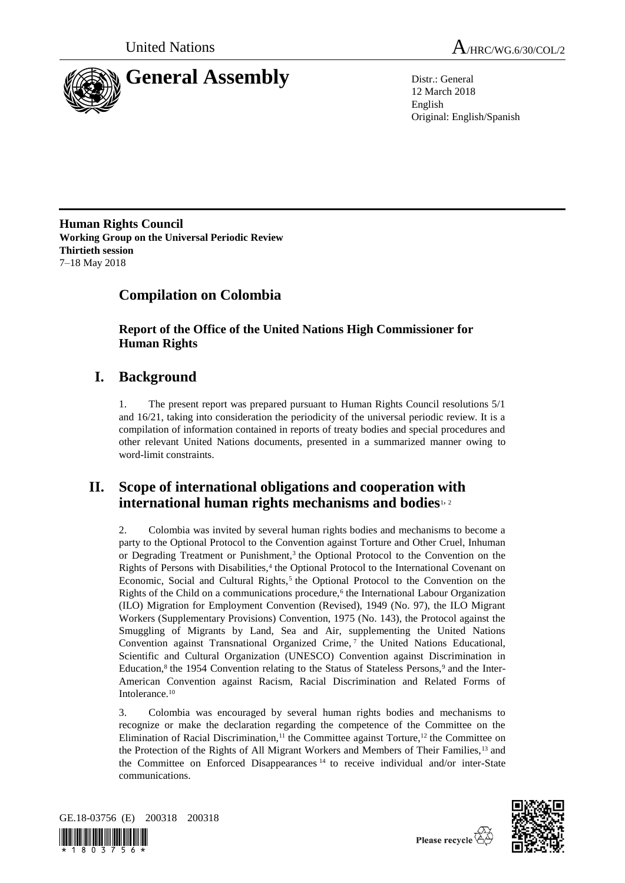



12 March 2018 English Original: English/Spanish

**Human Rights Council Working Group on the Universal Periodic Review Thirtieth session** 7–18 May 2018

# **Compilation on Colombia**

**Report of the Office of the United Nations High Commissioner for Human Rights**

# **I. Background**

1. The present report was prepared pursuant to Human Rights Council resolutions 5/1 and 16/21, taking into consideration the periodicity of the universal periodic review. It is a compilation of information contained in reports of treaty bodies and special procedures and other relevant United Nations documents, presented in a summarized manner owing to word-limit constraints.

## **II. Scope of international obligations and cooperation with international human rights mechanisms and bodies**1, <sup>2</sup>

2. Colombia was invited by several human rights bodies and mechanisms to become a party to the Optional Protocol to the Convention against Torture and Other Cruel, Inhuman or Degrading Treatment or Punishment,<sup>3</sup> the Optional Protocol to the Convention on the Rights of Persons with Disabilities,<sup>4</sup> the Optional Protocol to the International Covenant on Economic, Social and Cultural Rights, $5$  the Optional Protocol to the Convention on the Rights of the Child on a communications procedure,<sup>6</sup> the International Labour Organization (ILO) Migration for Employment Convention (Revised), 1949 (No. 97), the ILO Migrant Workers (Supplementary Provisions) Convention, 1975 (No. 143), the Protocol against the Smuggling of Migrants by Land, Sea and Air, supplementing the United Nations Convention against Transnational Organized Crime, <sup>7</sup> the United Nations Educational, Scientific and Cultural Organization (UNESCO) Convention against Discrimination in Education,<sup>8</sup> the 1954 Convention relating to the Status of Stateless Persons,<sup>9</sup> and the Inter-American Convention against Racism, Racial Discrimination and Related Forms of Intolerance.<sup>10</sup>

3. Colombia was encouraged by several human rights bodies and mechanisms to recognize or make the declaration regarding the competence of the Committee on the Elimination of Racial Discrimination,<sup>11</sup> the Committee against Torture,<sup>12</sup> the Committee on the Protection of the Rights of All Migrant Workers and Members of Their Families,<sup>13</sup> and the Committee on Enforced Disappearances <sup>14</sup> to receive individual and/or inter-State communications.





Please recycle  $\overleftrightarrow{C}$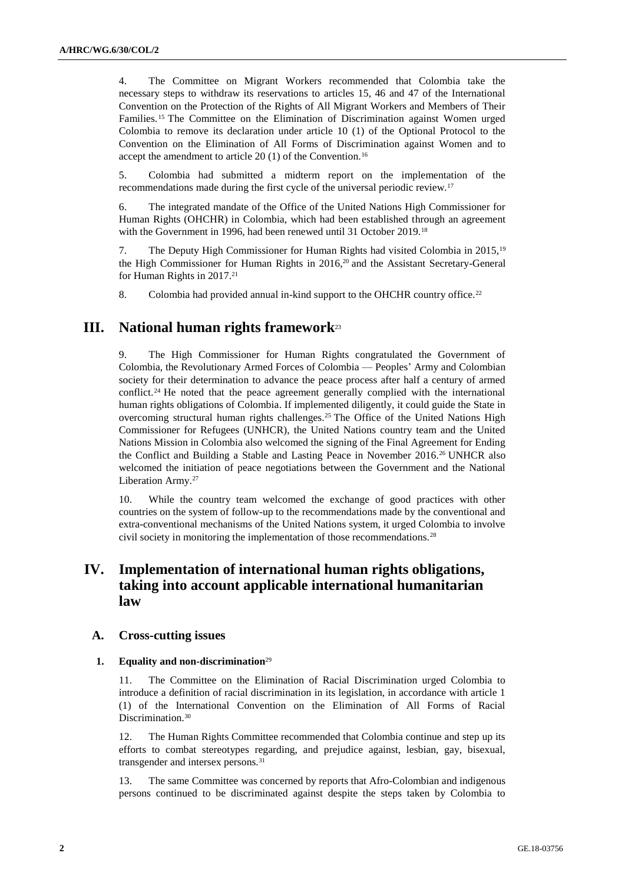4. The Committee on Migrant Workers recommended that Colombia take the necessary steps to withdraw its reservations to articles 15, 46 and 47 of the International Convention on the Protection of the Rights of All Migrant Workers and Members of Their Families.<sup>15</sup> The Committee on the Elimination of Discrimination against Women urged Colombia to remove its declaration under article 10 (1) of the Optional Protocol to the Convention on the Elimination of All Forms of Discrimination against Women and to accept the amendment to article  $20(1)$  of the Convention.<sup>16</sup>

5. Colombia had submitted a midterm report on the implementation of the recommendations made during the first cycle of the universal periodic review.<sup>17</sup>

6. The integrated mandate of the Office of the United Nations High Commissioner for Human Rights (OHCHR) in Colombia, which had been established through an agreement with the Government in 1996, had been renewed until 31 October 2019.<sup>18</sup>

7. The Deputy High Commissioner for Human Rights had visited Colombia in 2015,<sup>19</sup> the High Commissioner for Human Rights in 2016,<sup>20</sup> and the Assistant Secretary-General for Human Rights in 2017.<sup>21</sup>

8. Colombia had provided annual in-kind support to the OHCHR country office.<sup>22</sup>

## **III. National human rights framework**<sup>23</sup>

9. The High Commissioner for Human Rights congratulated the Government of Colombia, the Revolutionary Armed Forces of Colombia — Peoples' Army and Colombian society for their determination to advance the peace process after half a century of armed conflict.<sup>24</sup> He noted that the peace agreement generally complied with the international human rights obligations of Colombia. If implemented diligently, it could guide the State in overcoming structural human rights challenges.<sup>25</sup> The Office of the United Nations High Commissioner for Refugees (UNHCR), the United Nations country team and the United Nations Mission in Colombia also welcomed the signing of the Final Agreement for Ending the Conflict and Building a Stable and Lasting Peace in November 2016.<sup>26</sup> UNHCR also welcomed the initiation of peace negotiations between the Government and the National Liberation Army.<sup>27</sup>

10. While the country team welcomed the exchange of good practices with other countries on the system of follow-up to the recommendations made by the conventional and extra-conventional mechanisms of the United Nations system, it urged Colombia to involve civil society in monitoring the implementation of those recommendations.<sup>28</sup>

## **IV. Implementation of international human rights obligations, taking into account applicable international humanitarian law**

## **A. Cross-cutting issues**

#### **1. Equality and non-discrimination**<sup>29</sup>

11. The Committee on the Elimination of Racial Discrimination urged Colombia to introduce a definition of racial discrimination in its legislation, in accordance with article 1 (1) of the International Convention on the Elimination of All Forms of Racial Discrimination.<sup>30</sup>

12. The Human Rights Committee recommended that Colombia continue and step up its efforts to combat stereotypes regarding, and prejudice against, lesbian, gay, bisexual, transgender and intersex persons.<sup>31</sup>

13. The same Committee was concerned by reports that Afro-Colombian and indigenous persons continued to be discriminated against despite the steps taken by Colombia to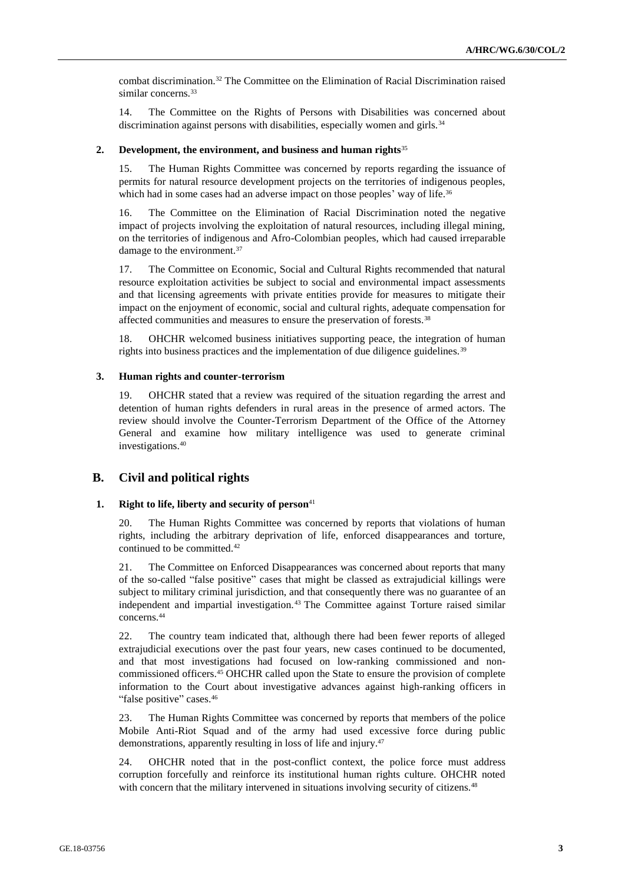combat discrimination.<sup>32</sup> The Committee on the Elimination of Racial Discrimination raised similar concerns.<sup>33</sup>

14. The Committee on the Rights of Persons with Disabilities was concerned about discrimination against persons with disabilities, especially women and girls.<sup>34</sup>

#### **2. Development, the environment, and business and human rights**<sup>35</sup>

15. The Human Rights Committee was concerned by reports regarding the issuance of permits for natural resource development projects on the territories of indigenous peoples, which had in some cases had an adverse impact on those peoples' way of life.<sup>36</sup>

16. The Committee on the Elimination of Racial Discrimination noted the negative impact of projects involving the exploitation of natural resources, including illegal mining, on the territories of indigenous and Afro-Colombian peoples, which had caused irreparable damage to the environment.<sup>37</sup>

17. The Committee on Economic, Social and Cultural Rights recommended that natural resource exploitation activities be subject to social and environmental impact assessments and that licensing agreements with private entities provide for measures to mitigate their impact on the enjoyment of economic, social and cultural rights, adequate compensation for affected communities and measures to ensure the preservation of forests.<sup>38</sup>

18. OHCHR welcomed business initiatives supporting peace, the integration of human rights into business practices and the implementation of due diligence guidelines.<sup>39</sup>

#### **3. Human rights and counter-terrorism**

19. OHCHR stated that a review was required of the situation regarding the arrest and detention of human rights defenders in rural areas in the presence of armed actors. The review should involve the Counter-Terrorism Department of the Office of the Attorney General and examine how military intelligence was used to generate criminal investigations.<sup>40</sup>

## **B. Civil and political rights**

## **1. Right to life, liberty and security of person**<sup>41</sup>

20. The Human Rights Committee was concerned by reports that violations of human rights, including the arbitrary deprivation of life, enforced disappearances and torture, continued to be committed.<sup>42</sup>

21. The Committee on Enforced Disappearances was concerned about reports that many of the so-called "false positive" cases that might be classed as extrajudicial killings were subject to military criminal jurisdiction, and that consequently there was no guarantee of an independent and impartial investigation.<sup>43</sup> The Committee against Torture raised similar concerns.<sup>44</sup>

22. The country team indicated that, although there had been fewer reports of alleged extrajudicial executions over the past four years, new cases continued to be documented, and that most investigations had focused on low-ranking commissioned and noncommissioned officers.<sup>45</sup> OHCHR called upon the State to ensure the provision of complete information to the Court about investigative advances against high-ranking officers in "false positive" cases.<sup>46</sup>

23. The Human Rights Committee was concerned by reports that members of the police Mobile Anti-Riot Squad and of the army had used excessive force during public demonstrations, apparently resulting in loss of life and injury.<sup>47</sup>

24. OHCHR noted that in the post-conflict context, the police force must address corruption forcefully and reinforce its institutional human rights culture. OHCHR noted with concern that the military intervened in situations involving security of citizens.<sup>48</sup>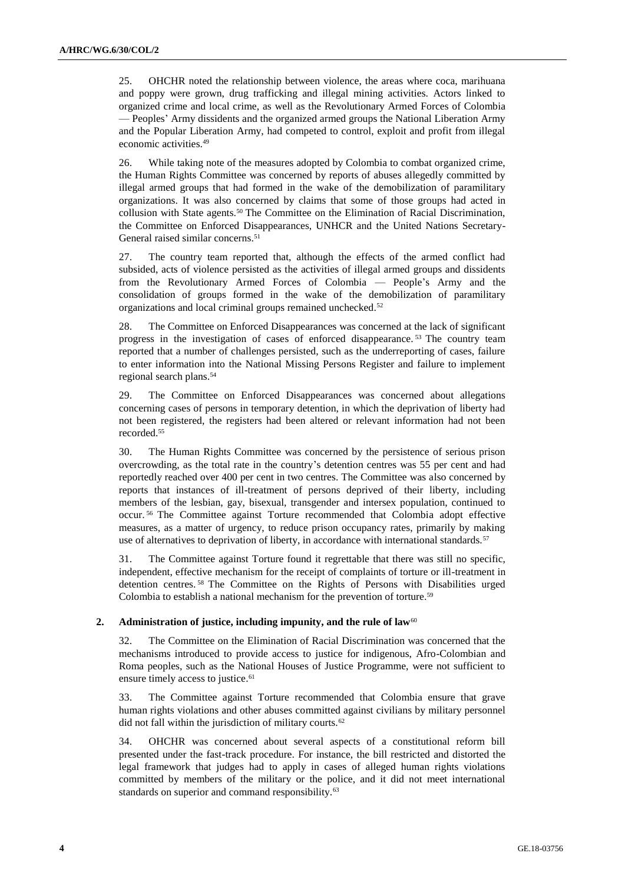25. OHCHR noted the relationship between violence, the areas where coca, marihuana and poppy were grown, drug trafficking and illegal mining activities. Actors linked to organized crime and local crime, as well as the Revolutionary Armed Forces of Colombia — Peoples' Army dissidents and the organized armed groups the National Liberation Army and the Popular Liberation Army, had competed to control, exploit and profit from illegal economic activities.<sup>49</sup>

26. While taking note of the measures adopted by Colombia to combat organized crime, the Human Rights Committee was concerned by reports of abuses allegedly committed by illegal armed groups that had formed in the wake of the demobilization of paramilitary organizations. It was also concerned by claims that some of those groups had acted in collusion with State agents.<sup>50</sup> The Committee on the Elimination of Racial Discrimination, the Committee on Enforced Disappearances, UNHCR and the United Nations Secretary-General raised similar concerns.<sup>51</sup>

27. The country team reported that, although the effects of the armed conflict had subsided, acts of violence persisted as the activities of illegal armed groups and dissidents from the Revolutionary Armed Forces of Colombia — People's Army and the consolidation of groups formed in the wake of the demobilization of paramilitary organizations and local criminal groups remained unchecked.<sup>52</sup>

28. The Committee on Enforced Disappearances was concerned at the lack of significant progress in the investigation of cases of enforced disappearance. <sup>53</sup> The country team reported that a number of challenges persisted, such as the underreporting of cases, failure to enter information into the National Missing Persons Register and failure to implement regional search plans.<sup>54</sup>

29. The Committee on Enforced Disappearances was concerned about allegations concerning cases of persons in temporary detention, in which the deprivation of liberty had not been registered, the registers had been altered or relevant information had not been recorded.<sup>55</sup>

30. The Human Rights Committee was concerned by the persistence of serious prison overcrowding, as the total rate in the country's detention centres was 55 per cent and had reportedly reached over 400 per cent in two centres. The Committee was also concerned by reports that instances of ill-treatment of persons deprived of their liberty, including members of the lesbian, gay, bisexual, transgender and intersex population, continued to occur. <sup>56</sup> The Committee against Torture recommended that Colombia adopt effective measures, as a matter of urgency, to reduce prison occupancy rates, primarily by making use of alternatives to deprivation of liberty, in accordance with international standards.<sup>57</sup>

31. The Committee against Torture found it regrettable that there was still no specific, independent, effective mechanism for the receipt of complaints of torture or ill-treatment in detention centres. <sup>58</sup> The Committee on the Rights of Persons with Disabilities urged Colombia to establish a national mechanism for the prevention of torture.<sup>59</sup>

#### **2. Administration of justice, including impunity, and the rule of law<sup>60</sup>**

32. The Committee on the Elimination of Racial Discrimination was concerned that the mechanisms introduced to provide access to justice for indigenous, Afro-Colombian and Roma peoples, such as the National Houses of Justice Programme, were not sufficient to ensure timely access to justice.<sup>61</sup>

33. The Committee against Torture recommended that Colombia ensure that grave human rights violations and other abuses committed against civilians by military personnel did not fall within the jurisdiction of military courts.<sup>62</sup>

34. OHCHR was concerned about several aspects of a constitutional reform bill presented under the fast-track procedure. For instance, the bill restricted and distorted the legal framework that judges had to apply in cases of alleged human rights violations committed by members of the military or the police, and it did not meet international standards on superior and command responsibility.<sup>63</sup>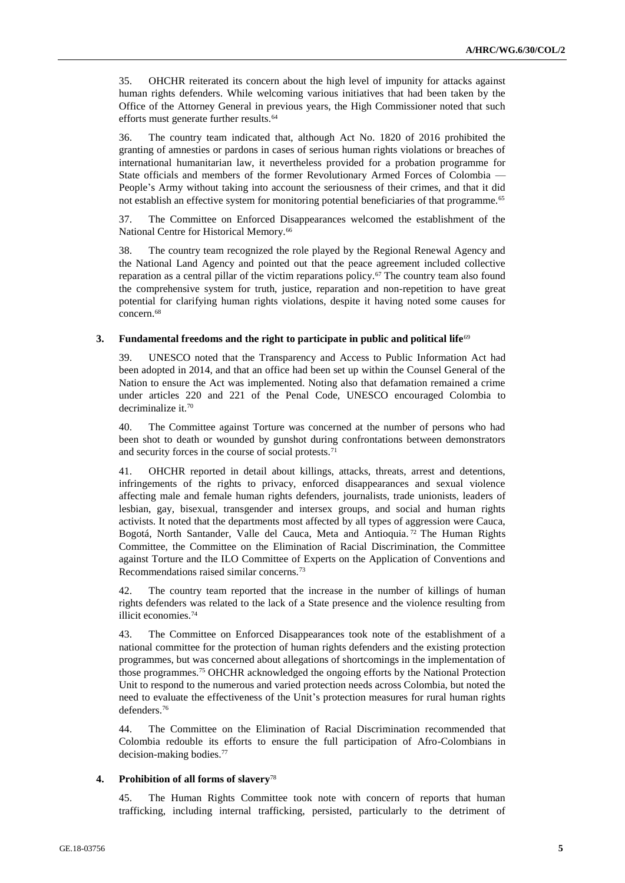35. OHCHR reiterated its concern about the high level of impunity for attacks against human rights defenders. While welcoming various initiatives that had been taken by the Office of the Attorney General in previous years, the High Commissioner noted that such efforts must generate further results.<sup>64</sup>

36. The country team indicated that, although Act No. 1820 of 2016 prohibited the granting of amnesties or pardons in cases of serious human rights violations or breaches of international humanitarian law, it nevertheless provided for a probation programme for State officials and members of the former Revolutionary Armed Forces of Colombia — People's Army without taking into account the seriousness of their crimes, and that it did not establish an effective system for monitoring potential beneficiaries of that programme.<sup>65</sup>

37. The Committee on Enforced Disappearances welcomed the establishment of the National Centre for Historical Memory.<sup>66</sup>

38. The country team recognized the role played by the Regional Renewal Agency and the National Land Agency and pointed out that the peace agreement included collective reparation as a central pillar of the victim reparations policy.<sup>67</sup> The country team also found the comprehensive system for truth, justice, reparation and non-repetition to have great potential for clarifying human rights violations, despite it having noted some causes for concern.<sup>68</sup>

### **3. Fundamental freedoms and the right to participate in public and political life**<sup>69</sup>

39. UNESCO noted that the Transparency and Access to Public Information Act had been adopted in 2014, and that an office had been set up within the Counsel General of the Nation to ensure the Act was implemented. Noting also that defamation remained a crime under articles 220 and 221 of the Penal Code, UNESCO encouraged Colombia to decriminalize it.<sup>70</sup>

40. The Committee against Torture was concerned at the number of persons who had been shot to death or wounded by gunshot during confrontations between demonstrators and security forces in the course of social protests.<sup>71</sup>

41. OHCHR reported in detail about killings, attacks, threats, arrest and detentions, infringements of the rights to privacy, enforced disappearances and sexual violence affecting male and female human rights defenders, journalists, trade unionists, leaders of lesbian, gay, bisexual, transgender and intersex groups, and social and human rights activists. It noted that the departments most affected by all types of aggression were Cauca, Bogotá, North Santander, Valle del Cauca, Meta and Antioquia.<sup>72</sup> The Human Rights Committee, the Committee on the Elimination of Racial Discrimination, the Committee against Torture and the ILO Committee of Experts on the Application of Conventions and Recommendations raised similar concerns.<sup>73</sup>

42. The country team reported that the increase in the number of killings of human rights defenders was related to the lack of a State presence and the violence resulting from illicit economies.<sup>74</sup>

43. The Committee on Enforced Disappearances took note of the establishment of a national committee for the protection of human rights defenders and the existing protection programmes, but was concerned about allegations of shortcomings in the implementation of those programmes.<sup>75</sup> OHCHR acknowledged the ongoing efforts by the National Protection Unit to respond to the numerous and varied protection needs across Colombia, but noted the need to evaluate the effectiveness of the Unit's protection measures for rural human rights defenders.<sup>76</sup>

44. The Committee on the Elimination of Racial Discrimination recommended that Colombia redouble its efforts to ensure the full participation of Afro-Colombians in decision-making bodies.<sup>77</sup>

#### **4. Prohibition of all forms of slavery**<sup>78</sup>

45. The Human Rights Committee took note with concern of reports that human trafficking, including internal trafficking, persisted, particularly to the detriment of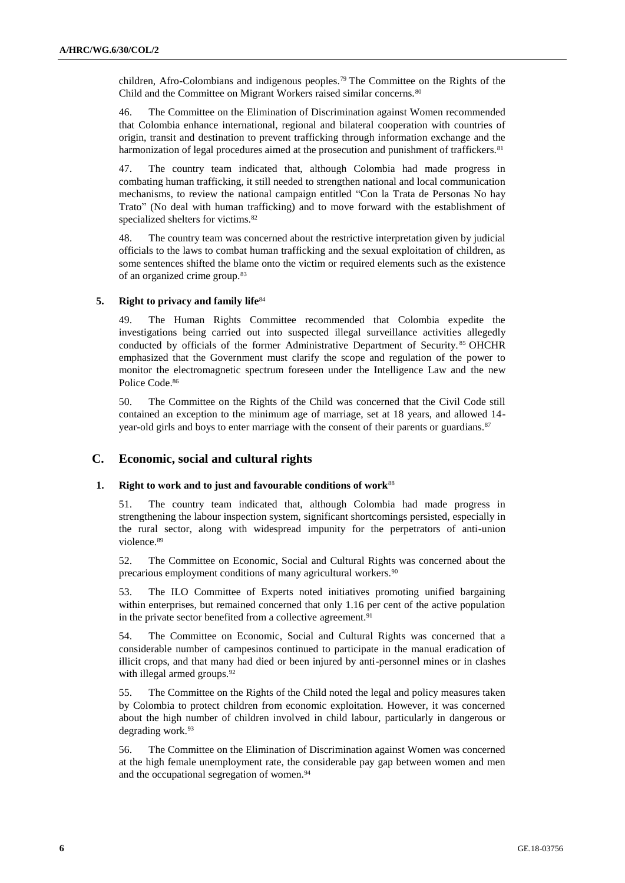children, Afro-Colombians and indigenous peoples.<sup>79</sup> The Committee on the Rights of the Child and the Committee on Migrant Workers raised similar concerns.<sup>80</sup>

46. The Committee on the Elimination of Discrimination against Women recommended that Colombia enhance international, regional and bilateral cooperation with countries of origin, transit and destination to prevent trafficking through information exchange and the harmonization of legal procedures aimed at the prosecution and punishment of traffickers. $81$ 

47. The country team indicated that, although Colombia had made progress in combating human trafficking, it still needed to strengthen national and local communication mechanisms, to review the national campaign entitled "Con la Trata de Personas No hay Trato" (No deal with human trafficking) and to move forward with the establishment of specialized shelters for victims.<sup>82</sup>

48. The country team was concerned about the restrictive interpretation given by judicial officials to the laws to combat human trafficking and the sexual exploitation of children, as some sentences shifted the blame onto the victim or required elements such as the existence of an organized crime group.<sup>83</sup>

#### **5. Right to privacy and family life**<sup>84</sup>

49. The Human Rights Committee recommended that Colombia expedite the investigations being carried out into suspected illegal surveillance activities allegedly conducted by officials of the former Administrative Department of Security.<sup>85</sup> OHCHR emphasized that the Government must clarify the scope and regulation of the power to monitor the electromagnetic spectrum foreseen under the Intelligence Law and the new Police Code.<sup>86</sup>

50. The Committee on the Rights of the Child was concerned that the Civil Code still contained an exception to the minimum age of marriage, set at 18 years, and allowed 14 year-old girls and boys to enter marriage with the consent of their parents or guardians.<sup>87</sup>

## **C. Economic, social and cultural rights**

#### **1. Right to work and to just and favourable conditions of work**<sup>88</sup>

51. The country team indicated that, although Colombia had made progress in strengthening the labour inspection system, significant shortcomings persisted, especially in the rural sector, along with widespread impunity for the perpetrators of anti-union violence.<sup>89</sup>

52. The Committee on Economic, Social and Cultural Rights was concerned about the precarious employment conditions of many agricultural workers.<sup>90</sup>

53. The ILO Committee of Experts noted initiatives promoting unified bargaining within enterprises, but remained concerned that only 1.16 per cent of the active population in the private sector benefited from a collective agreement.<sup>91</sup>

54. The Committee on Economic, Social and Cultural Rights was concerned that a considerable number of campesinos continued to participate in the manual eradication of illicit crops, and that many had died or been injured by anti-personnel mines or in clashes with illegal armed groups.<sup>92</sup>

55. The Committee on the Rights of the Child noted the legal and policy measures taken by Colombia to protect children from economic exploitation. However, it was concerned about the high number of children involved in child labour, particularly in dangerous or degrading work.<sup>93</sup>

56. The Committee on the Elimination of Discrimination against Women was concerned at the high female unemployment rate, the considerable pay gap between women and men and the occupational segregation of women.<sup>94</sup>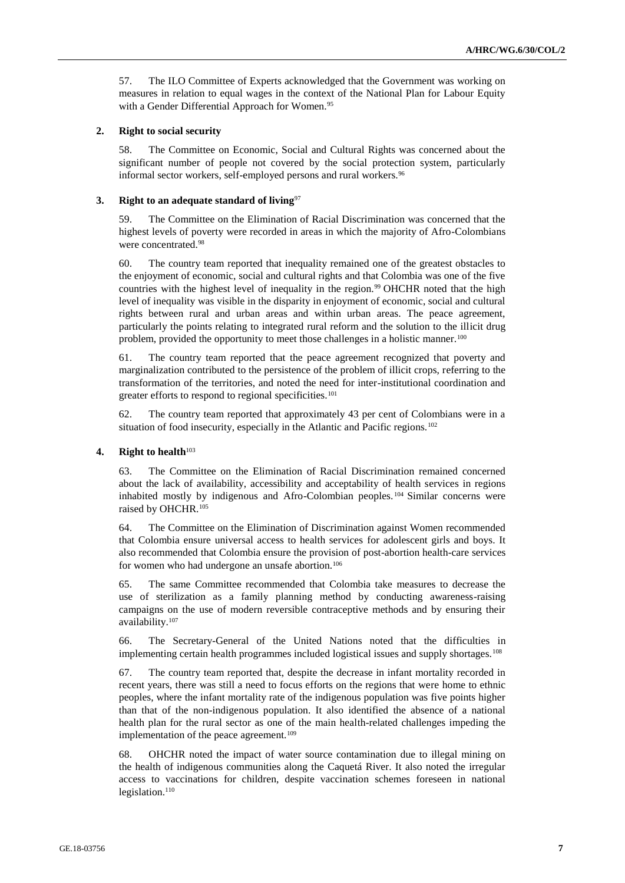57. The ILO Committee of Experts acknowledged that the Government was working on measures in relation to equal wages in the context of the National Plan for Labour Equity with a Gender Differential Approach for Women.<sup>95</sup>

#### **2. Right to social security**

58. The Committee on Economic, Social and Cultural Rights was concerned about the significant number of people not covered by the social protection system, particularly informal sector workers, self-employed persons and rural workers.<sup>96</sup>

#### **3. Right to an adequate standard of living**<sup>97</sup>

59. The Committee on the Elimination of Racial Discrimination was concerned that the highest levels of poverty were recorded in areas in which the majority of Afro-Colombians were concentrated.<sup>98</sup>

60. The country team reported that inequality remained one of the greatest obstacles to the enjoyment of economic, social and cultural rights and that Colombia was one of the five countries with the highest level of inequality in the region.<sup>99</sup> OHCHR noted that the high level of inequality was visible in the disparity in enjoyment of economic, social and cultural rights between rural and urban areas and within urban areas. The peace agreement, particularly the points relating to integrated rural reform and the solution to the illicit drug problem, provided the opportunity to meet those challenges in a holistic manner.<sup>100</sup>

61. The country team reported that the peace agreement recognized that poverty and marginalization contributed to the persistence of the problem of illicit crops, referring to the transformation of the territories, and noted the need for inter-institutional coordination and greater efforts to respond to regional specificities.<sup>101</sup>

62. The country team reported that approximately 43 per cent of Colombians were in a situation of food insecurity, especially in the Atlantic and Pacific regions.<sup>102</sup>

## **4. Right to health**<sup>103</sup>

63. The Committee on the Elimination of Racial Discrimination remained concerned about the lack of availability, accessibility and acceptability of health services in regions inhabited mostly by indigenous and Afro-Colombian peoples. <sup>104</sup> Similar concerns were raised by OHCHR.<sup>105</sup>

64. The Committee on the Elimination of Discrimination against Women recommended that Colombia ensure universal access to health services for adolescent girls and boys. It also recommended that Colombia ensure the provision of post-abortion health-care services for women who had undergone an unsafe abortion.<sup>106</sup>

65. The same Committee recommended that Colombia take measures to decrease the use of sterilization as a family planning method by conducting awareness-raising campaigns on the use of modern reversible contraceptive methods and by ensuring their availability.<sup>107</sup>

66. The Secretary-General of the United Nations noted that the difficulties in implementing certain health programmes included logistical issues and supply shortages.<sup>108</sup>

67. The country team reported that, despite the decrease in infant mortality recorded in recent years, there was still a need to focus efforts on the regions that were home to ethnic peoples, where the infant mortality rate of the indigenous population was five points higher than that of the non-indigenous population. It also identified the absence of a national health plan for the rural sector as one of the main health-related challenges impeding the implementation of the peace agreement.<sup>109</sup>

68. OHCHR noted the impact of water source contamination due to illegal mining on the health of indigenous communities along the Caquetá River. It also noted the irregular access to vaccinations for children, despite vaccination schemes foreseen in national legislation.<sup>110</sup>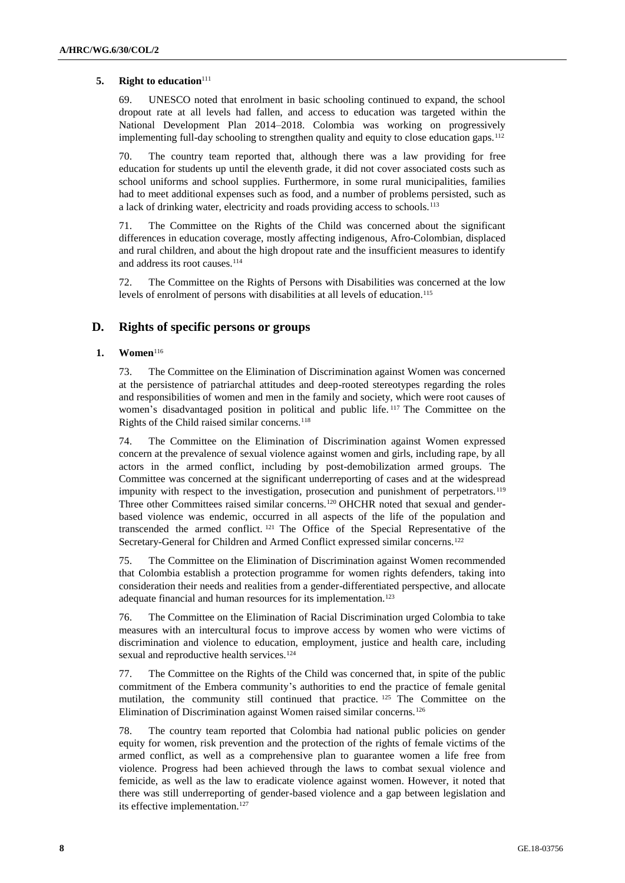### **5. Right to education**<sup>111</sup>

69. UNESCO noted that enrolment in basic schooling continued to expand, the school dropout rate at all levels had fallen, and access to education was targeted within the National Development Plan 2014–2018. Colombia was working on progressively implementing full-day schooling to strengthen quality and equity to close education gaps.<sup>112</sup>

70. The country team reported that, although there was a law providing for free education for students up until the eleventh grade, it did not cover associated costs such as school uniforms and school supplies. Furthermore, in some rural municipalities, families had to meet additional expenses such as food, and a number of problems persisted, such as a lack of drinking water, electricity and roads providing access to schools.<sup>113</sup>

71. The Committee on the Rights of the Child was concerned about the significant differences in education coverage, mostly affecting indigenous, Afro-Colombian, displaced and rural children, and about the high dropout rate and the insufficient measures to identify and address its root causes.<sup>114</sup>

72. The Committee on the Rights of Persons with Disabilities was concerned at the low levels of enrolment of persons with disabilities at all levels of education.<sup>115</sup>

## **D. Rights of specific persons or groups**

### **1. Women**<sup>116</sup>

73. The Committee on the Elimination of Discrimination against Women was concerned at the persistence of patriarchal attitudes and deep-rooted stereotypes regarding the roles and responsibilities of women and men in the family and society, which were root causes of women's disadvantaged position in political and public life. <sup>117</sup> The Committee on the Rights of the Child raised similar concerns.<sup>118</sup>

74. The Committee on the Elimination of Discrimination against Women expressed concern at the prevalence of sexual violence against women and girls, including rape, by all actors in the armed conflict, including by post-demobilization armed groups. The Committee was concerned at the significant underreporting of cases and at the widespread impunity with respect to the investigation, prosecution and punishment of perpetrators.<sup>119</sup> Three other Committees raised similar concerns.<sup>120</sup> OHCHR noted that sexual and genderbased violence was endemic, occurred in all aspects of the life of the population and transcended the armed conflict. <sup>121</sup> The Office of the Special Representative of the Secretary-General for Children and Armed Conflict expressed similar concerns.<sup>122</sup>

75. The Committee on the Elimination of Discrimination against Women recommended that Colombia establish a protection programme for women rights defenders, taking into consideration their needs and realities from a gender-differentiated perspective, and allocate adequate financial and human resources for its implementation.<sup>123</sup>

76. The Committee on the Elimination of Racial Discrimination urged Colombia to take measures with an intercultural focus to improve access by women who were victims of discrimination and violence to education, employment, justice and health care, including sexual and reproductive health services.<sup>124</sup>

77. The Committee on the Rights of the Child was concerned that, in spite of the public commitment of the Embera community's authorities to end the practice of female genital mutilation, the community still continued that practice. <sup>125</sup> The Committee on the Elimination of Discrimination against Women raised similar concerns.<sup>126</sup>

78. The country team reported that Colombia had national public policies on gender equity for women, risk prevention and the protection of the rights of female victims of the armed conflict, as well as a comprehensive plan to guarantee women a life free from violence. Progress had been achieved through the laws to combat sexual violence and femicide, as well as the law to eradicate violence against women. However, it noted that there was still underreporting of gender-based violence and a gap between legislation and its effective implementation.<sup>127</sup>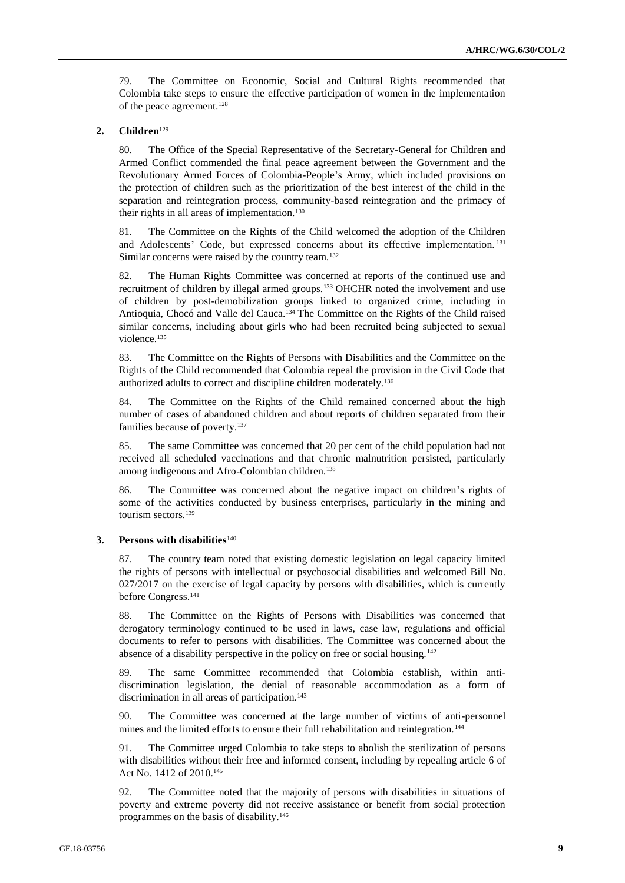79. The Committee on Economic, Social and Cultural Rights recommended that Colombia take steps to ensure the effective participation of women in the implementation of the peace agreement.<sup>128</sup>

#### **2. Children**<sup>129</sup>

80. The Office of the Special Representative of the Secretary-General for Children and Armed Conflict commended the final peace agreement between the Government and the Revolutionary Armed Forces of Colombia-People's Army, which included provisions on the protection of children such as the prioritization of the best interest of the child in the separation and reintegration process, community-based reintegration and the primacy of their rights in all areas of implementation.<sup>130</sup>

81. The Committee on the Rights of the Child welcomed the adoption of the Children and Adolescents' Code, but expressed concerns about its effective implementation. <sup>131</sup> Similar concerns were raised by the country team.<sup>132</sup>

82. The Human Rights Committee was concerned at reports of the continued use and recruitment of children by illegal armed groups.<sup>133</sup> OHCHR noted the involvement and use of children by post-demobilization groups linked to organized crime, including in Antioquia, Chocó and Valle del Cauca.<sup>134</sup> The Committee on the Rights of the Child raised similar concerns, including about girls who had been recruited being subjected to sexual violence.<sup>135</sup>

83. The Committee on the Rights of Persons with Disabilities and the Committee on the Rights of the Child recommended that Colombia repeal the provision in the Civil Code that authorized adults to correct and discipline children moderately.<sup>136</sup>

84. The Committee on the Rights of the Child remained concerned about the high number of cases of abandoned children and about reports of children separated from their families because of poverty.<sup>137</sup>

85. The same Committee was concerned that 20 per cent of the child population had not received all scheduled vaccinations and that chronic malnutrition persisted, particularly among indigenous and Afro-Colombian children.<sup>138</sup>

86. The Committee was concerned about the negative impact on children's rights of some of the activities conducted by business enterprises, particularly in the mining and tourism sectors.<sup>139</sup>

## **3. Persons with disabilities**<sup>140</sup>

87. The country team noted that existing domestic legislation on legal capacity limited the rights of persons with intellectual or psychosocial disabilities and welcomed Bill No. 027/2017 on the exercise of legal capacity by persons with disabilities, which is currently before Congress.<sup>141</sup>

88. The Committee on the Rights of Persons with Disabilities was concerned that derogatory terminology continued to be used in laws, case law, regulations and official documents to refer to persons with disabilities. The Committee was concerned about the absence of a disability perspective in the policy on free or social housing.<sup>142</sup>

89. The same Committee recommended that Colombia establish, within antidiscrimination legislation, the denial of reasonable accommodation as a form of discrimination in all areas of participation.<sup>143</sup>

90. The Committee was concerned at the large number of victims of anti-personnel mines and the limited efforts to ensure their full rehabilitation and reintegration.<sup>144</sup>

91. The Committee urged Colombia to take steps to abolish the sterilization of persons with disabilities without their free and informed consent, including by repealing article 6 of Act No. 1412 of 2010.<sup>145</sup>

92. The Committee noted that the majority of persons with disabilities in situations of poverty and extreme poverty did not receive assistance or benefit from social protection programmes on the basis of disability. 146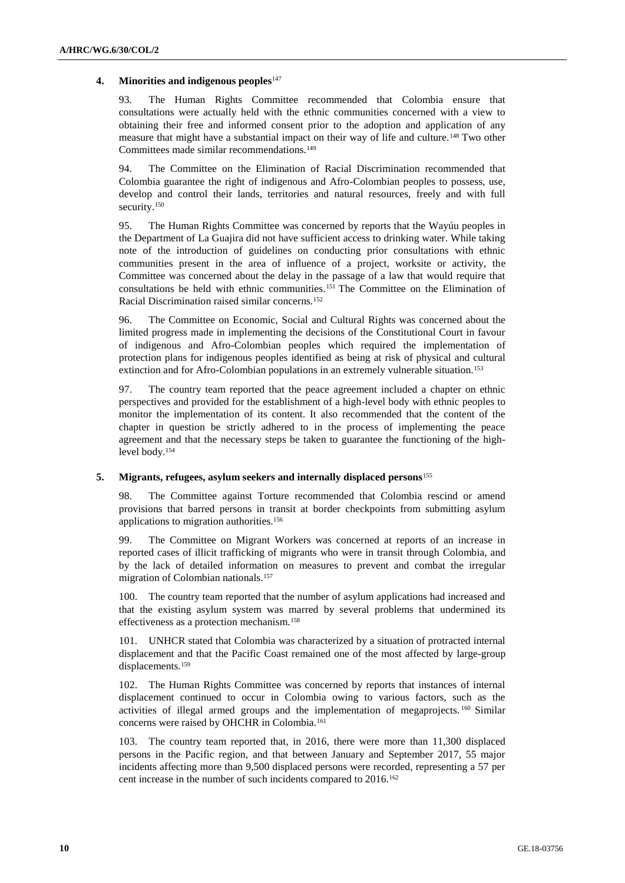#### **4. Minorities and indigenous peoples**<sup>147</sup>

93. The Human Rights Committee recommended that Colombia ensure that consultations were actually held with the ethnic communities concerned with a view to obtaining their free and informed consent prior to the adoption and application of any measure that might have a substantial impact on their way of life and culture.<sup>148</sup> Two other Committees made similar recommendations.<sup>149</sup>

94. The Committee on the Elimination of Racial Discrimination recommended that Colombia guarantee the right of indigenous and Afro-Colombian peoples to possess, use, develop and control their lands, territories and natural resources, freely and with full security.<sup>150</sup>

95. The Human Rights Committee was concerned by reports that the Wayúu peoples in the Department of La Guajira did not have sufficient access to drinking water. While taking note of the introduction of guidelines on conducting prior consultations with ethnic communities present in the area of influence of a project, worksite or activity, the Committee was concerned about the delay in the passage of a law that would require that consultations be held with ethnic communities.<sup>151</sup> The Committee on the Elimination of Racial Discrimination raised similar concerns.<sup>152</sup>

96. The Committee on Economic, Social and Cultural Rights was concerned about the limited progress made in implementing the decisions of the Constitutional Court in favour of indigenous and Afro-Colombian peoples which required the implementation of protection plans for indigenous peoples identified as being at risk of physical and cultural extinction and for Afro-Colombian populations in an extremely vulnerable situation.<sup>153</sup>

97. The country team reported that the peace agreement included a chapter on ethnic perspectives and provided for the establishment of a high-level body with ethnic peoples to monitor the implementation of its content. It also recommended that the content of the chapter in question be strictly adhered to in the process of implementing the peace agreement and that the necessary steps be taken to guarantee the functioning of the highlevel body.<sup>154</sup>

#### **5. Migrants, refugees, asylum seekers and internally displaced persons**<sup>155</sup>

98. The Committee against Torture recommended that Colombia rescind or amend provisions that barred persons in transit at border checkpoints from submitting asylum applications to migration authorities.<sup>156</sup>

99. The Committee on Migrant Workers was concerned at reports of an increase in reported cases of illicit trafficking of migrants who were in transit through Colombia, and by the lack of detailed information on measures to prevent and combat the irregular migration of Colombian nationals.<sup>157</sup>

100. The country team reported that the number of asylum applications had increased and that the existing asylum system was marred by several problems that undermined its effectiveness as a protection mechanism.<sup>158</sup>

101. UNHCR stated that Colombia was characterized by a situation of protracted internal displacement and that the Pacific Coast remained one of the most affected by large-group displacements.<sup>159</sup>

102. The Human Rights Committee was concerned by reports that instances of internal displacement continued to occur in Colombia owing to various factors, such as the activities of illegal armed groups and the implementation of megaprojects. <sup>160</sup> Similar concerns were raised by OHCHR in Colombia.<sup>161</sup>

103. The country team reported that, in 2016, there were more than 11,300 displaced persons in the Pacific region, and that between January and September 2017, 55 major incidents affecting more than 9,500 displaced persons were recorded, representing a 57 per cent increase in the number of such incidents compared to 2016.162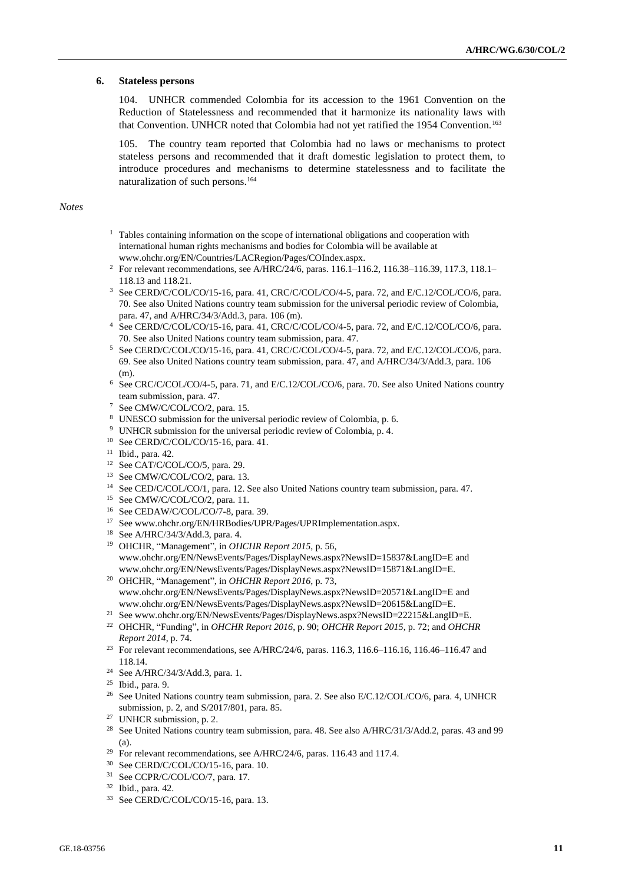#### **6. Stateless persons**

104. UNHCR commended Colombia for its accession to the 1961 Convention on the Reduction of Statelessness and recommended that it harmonize its nationality laws with that Convention. UNHCR noted that Colombia had not yet ratified the 1954 Convention.<sup>163</sup>

105. The country team reported that Colombia had no laws or mechanisms to protect stateless persons and recommended that it draft domestic legislation to protect them, to introduce procedures and mechanisms to determine statelessness and to facilitate the naturalization of such persons.<sup>164</sup>

#### *Notes*

- <sup>1</sup> Tables containing information on the scope of international obligations and cooperation with international human rights mechanisms and bodies for Colombia will be available at [www.ohchr.org/EN/Countries/LACRegion/Pages/COIndex.aspx.](file:///C:/Users/Fletcher/AppData/Roaming/Microsoft/Word/www.ohchr.org/EN/Countries/LACRegion/Pages/COIndex.aspx)
- <sup>2</sup> For relevant recommendations, see A/HRC/24/6, paras. 116.1-116.2, 116.38-116.39, 117.3, 118.1-118.13 and 118.21.
- <sup>3</sup> See CERD/C/COL/CO/15-16, para. 41, CRC/C/COL/CO/4-5, para. 72, and E/C.12/COL/CO/6, para. 70. See also United Nations country team submission for the universal periodic review of Colombia, para. 47, and A/HRC/34/3/Add.3, para. 106 (m).
- <sup>4</sup> See CERD/C/COL/CO/15-16, para. 41, CRC/C/COL/CO/4-5, para. 72, and E/C.12/COL/CO/6, para. 70. See also United Nations country team submission, para. 47.
- <sup>5</sup> See CERD/C/COL/CO/15-16, para. 41, CRC/C/COL/CO/4-5, para. 72, and E/C.12/COL/CO/6, para. 69. See also United Nations country team submission, para. 47, and A/HRC/34/3/Add.3, para. 106 (m).
- <sup>6</sup> See CRC/C/COL/CO/4-5, para. 71, and E/C.12/COL/CO/6, para. 70. See also United Nations country team submission, para. 47.
- <sup>7</sup> See CMW/C/COL/CO/2, para. 15.
- <sup>8</sup> UNESCO submission for the universal periodic review of Colombia, p. 6.
- <sup>9</sup> UNHCR submission for the universal periodic review of Colombia, p. 4.
- <sup>10</sup> See CERD/C/COL/CO/15-16, para. 41.
- <sup>11</sup> Ibid., para. 42.
- <sup>12</sup> See CAT/C/COL/CO/5, para. 29.
- <sup>13</sup> See CMW/C/COL/CO/2, para. 13.
- <sup>14</sup> See CED/C/COL/CO/1, para. 12. See also United Nations country team submission, para. 47.
- <sup>15</sup> See CMW/C/COL/CO/2, para. 11.
- <sup>16</sup> See CEDAW/C/COL/CO/7-8, para. 39.
- <sup>17</sup> See www.ohchr.org/EN/HRBodies/UPR/Pages/UPRImplementation.aspx.
- <sup>18</sup> See A/HRC/34/3/Add.3, para. 4.
- <sup>19</sup> OHCHR, "Management", in *OHCHR Report 2015*, p. 56, www.ohchr.org/EN/NewsEvents/Pages/DisplayNews.aspx?NewsID=15837&LangID=E and www.ohchr.org/EN/NewsEvents/Pages/DisplayNews.aspx?NewsID=15871&LangID=E.
- <sup>20</sup> OHCHR, "Management", in *OHCHR Report 2016*, p. 73, [www.ohchr.org/EN/NewsEvents/Pages/DisplayNews.aspx?NewsID=20571&LangID=E](file:///C:/Users/Fletcher/AppData/Roaming/Microsoft/Word/www.ohchr.org/EN/NewsEvents/Pages/DisplayNews.aspx%3fNewsID=20571&LangID=E) and [www.ohchr.org/EN/NewsEvents/Pages/DisplayNews.aspx?NewsID=20615&LangID=E.](file:///C:/Users/Fletcher/AppData/Roaming/Microsoft/Word/www.ohchr.org/EN/NewsEvents/Pages/DisplayNews.aspx%3fNewsID=20615&LangID=E)
- <sup>21</sup> See www.ohchr.org/EN/NewsEvents/Pages/DisplayNews.aspx?NewsID=22215&LangID=E.
- <sup>22</sup> OHCHR, "Funding", in *OHCHR Report 2016*, p. 90; *OHCHR Report 2015*, p. 72; and *OHCHR Report 2014*, p. 74.
- <sup>23</sup> For relevant recommendations, see A/HRC/24/6, paras. 116.3, 116.6–116.16, 116.46–116.47 and 118.14.
- <sup>24</sup> See A/HRC/34/3/Add.3, para. 1.
- <sup>25</sup> Ibid., para. 9.
- <sup>26</sup> See United Nations country team submission, para. 2. See also E/C.12/COL/CO/6, para. 4, UNHCR submission, p. 2, and S/2017/801, para. 85.
- <sup>27</sup> UNHCR submission, p. 2.
- <sup>28</sup> See United Nations country team submission, para. 48. See also A/HRC/31/3/Add.2, paras. 43 and 99 (a).
- <sup>29</sup> For relevant recommendations, see A/HRC/24/6, paras. 116.43 and 117.4.
- <sup>30</sup> See CERD/C/COL/CO/15-16, para. 10.
- <sup>31</sup> See CCPR/C/COL/CO/7, para. 17.
- <sup>32</sup> Ibid., para. 42.
- <sup>33</sup> See CERD/C/COL/CO/15-16, para. 13.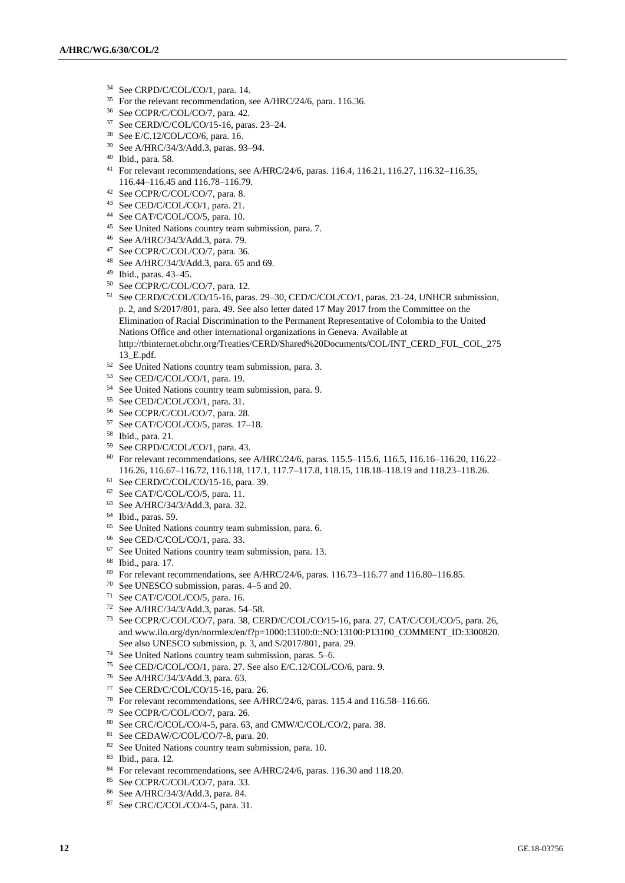- See CRPD/C/COL/CO/1, para. 14.
- For the relevant recommendation, see A/HRC/24/6, para. 116.36.
- See CCPR/C/COL/CO/7, para. 42.
- See CERD/C/COL/CO/15-16, paras. 23–24.
- See E/C.12/COL/CO/6, para. 16.
- See A/HRC/34/3/Add.3, paras. 93–94.
- Ibid., para. 58.
- For relevant recommendations, see A/HRC/24/6, paras. 116.4, 116.21, 116.27, 116.32–116.35, 116.44–116.45 and 116.78–116.79.
- See CCPR/C/COL/CO/7, para. 8.
- See CED/C/COL/CO/1, para. 21.
- See CAT/C/COL/CO/5, para. 10.
- See United Nations country team submission, para. 7.
- See A/HRC/34/3/Add.3, para. 79.
- See CCPR/C/COL/CO/7, para. 36.
- See A/HRC/34/3/Add.3, para. 65 and 69.
- Ibid., paras. 43–45.
- See CCPR/C/COL/CO/7, para. 12.
- See CERD/C/COL/CO/15-16, paras. 29–30, CED/C/COL/CO/1, paras. 23–24, UNHCR submission, p. 2, and S/2017/801, para. 49. See also letter dated 17 May 2017 from the Committee on the Elimination of Racial Discrimination to the Permanent Representative of Colombia to the United Nations Office and other international organizations in Geneva. Available at http://tbinternet.ohchr.org/Treaties/CERD/Shared%20Documents/COL/INT\_CERD\_FUL\_COL\_275 13\_E.pdf.
- See United Nations country team submission, para. 3.
- See CED/C/COL/CO/1, para. 19.
- See United Nations country team submission, para. 9.
- See CED/C/COL/CO/1, para. 31.
- See CCPR/C/COL/CO/7, para. 28.
- See CAT/C/COL/CO/5, paras. 17–18.
- Ibid., para. 21.
- See CRPD/C/COL/CO/1, para. 43.
- For relevant recommendations, see A/HRC/24/6, paras. 115.5–115.6, 116.5, 116.16–116.20, 116.22– 116.26, 116.67–116.72, 116.118, 117.1, 117.7–117.8, 118.15, 118.18–118.19 and 118.23–118.26.
- See CERD/C/COL/CO/15-16, para. 39.
- See CAT/C/COL/CO/5, para. 11.
- See A/HRC/34/3/Add.3, para. 32.
- Ibid., paras. 59.
- See United Nations country team submission, para. 6.
- See CED/C/COL/CO/1, para. 33.
- See United Nations country team submission, para. 13.
- Ibid., para. 17.
- For relevant recommendations, see A/HRC/24/6, paras. 116.73–116.77 and 116.80–116.85.
- See UNESCO submission, paras. 4–5 and 20.
- See CAT/C/COL/CO/5, para. 16.
- See A/HRC/34/3/Add.3, paras. 54–58.
- See CCPR/C/COL/CO/7, para. 38, CERD/C/COL/CO/15-16, para. 27, CAT/C/COL/CO/5, para. 26, and www.ilo.org/dyn/normlex/en/f?p=1000:13100:0::NO:13100:P13100\_COMMENT\_ID:3300820. See also UNESCO submission, p. 3, and S/2017/801, para. 29.
- See United Nations country team submission, paras. 5–6.
- See CED/C/COL/CO/1, para. 27. See also E/C.12/COL/CO/6, para. 9.
- See A/HRC/34/3/Add.3, para. 63.
- See CERD/C/COL/CO/15-16, para. 26.
- For relevant recommendations, see A/HRC/24/6, paras. 115.4 and 116.58–116.66.
- See CCPR/C/COL/CO/7, para. 26.
- See CRC/C/COL/CO/4-5, para. 63, and CMW/C/COL/CO/2, para. 38.
- See CEDAW/C/COL/CO/7-8, para. 20.
- 82 See United Nations country team submission, para. 10.
- Ibid., para. 12.
- <sup>84</sup> For relevant recommendations, see A/HRC/24/6, paras. 116.30 and 118.20.
- See CCPR/C/COL/CO/7, para. 33.
- See A/HRC/34/3/Add.3, para. 84.
- See CRC/C/COL/CO/4-5, para. 31.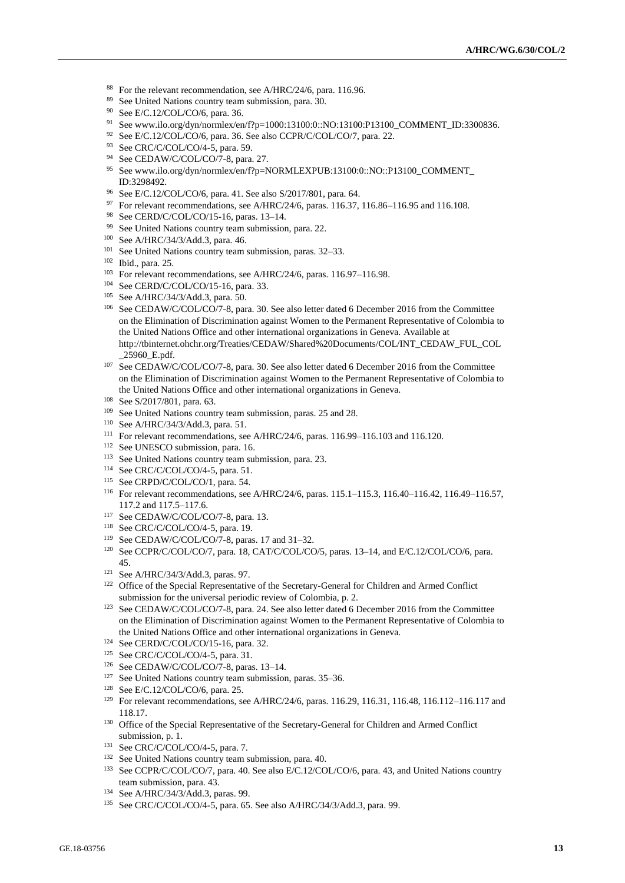- <sup>88</sup> For the relevant recommendation, see A/HRC/24/6, para. 116.96.
- <sup>89</sup> See United Nations country team submission, para. 30.
- <sup>90</sup> See E/C.12/COL/CO/6, para. 36.
- <sup>91</sup> See www.ilo.org/dyn/normlex/en/f?p=1000:13100:0::NO:13100:P13100\_COMMENT\_ID:3300836.
- <sup>92</sup> See E/C.12/COL/CO/6, para. 36. See also CCPR/C/COL/CO/7, para. 22.
- $93$  See CRC/C/COL/CO/4-5, para. 59.
- 94 See CEDAW/C/COL/CO/7-8, para. 27.
- <sup>95</sup> See www.ilo.org/dyn/normlex/en/f?p=NORMLEXPUB:13100:0::NO::P13100\_COMMENT\_ ID:3298492.
- <sup>96</sup> See E/C.12/COL/CO/6, para. 41. See also S/2017/801, para. 64.
- <sup>97</sup> For relevant recommendations, see A/HRC/24/6, paras. 116.37, 116.86–116.95 and 116.108.
- <sup>98</sup> See CERD/C/COL/CO/15-16, paras. 13–14.
- <sup>99</sup> See United Nations country team submission, para. 22.
- <sup>100</sup> See A/HRC/34/3/Add.3, para. 46.
- <sup>101</sup> See United Nations country team submission, paras. 32–33.
- <sup>102</sup> Ibid., para. 25.
- <sup>103</sup> For relevant recommendations, see A/HRC/24/6, paras. 116.97–116.98.
- <sup>104</sup> See CERD/C/COL/CO/15-16, para. 33.
- <sup>105</sup> See A/HRC/34/3/Add.3, para. 50.
- <sup>106</sup> See CEDAW/C/COL/CO/7-8, para. 30. See also letter dated 6 December 2016 from the Committee on the Elimination of Discrimination against Women to the Permanent Representative of Colombia to the United Nations Office and other international organizations in Geneva. Available at http://tbinternet.ohchr.org/Treaties/CEDAW/Shared%20Documents/COL/INT\_CEDAW\_FUL\_COL \_25960\_E.pdf.
- <sup>107</sup> See CEDAW/C/COL/CO/7-8, para. 30. See also letter dated 6 December 2016 from the Committee on the Elimination of Discrimination against Women to the Permanent Representative of Colombia to the United Nations Office and other international organizations in Geneva.
- <sup>108</sup> See S/2017/801, para. 63.
- <sup>109</sup> See United Nations country team submission, paras. 25 and 28.
- <sup>110</sup> See A/HRC/34/3/Add.3, para. 51.
- <sup>111</sup> For relevant recommendations, see A/HRC/24/6, paras. 116.99–116.103 and 116.120.
- <sup>112</sup> See UNESCO submission, para. 16.
- <sup>113</sup> See United Nations country team submission, para. 23.
- <sup>114</sup> See CRC/C/COL/CO/4-5, para. 51.
- <sup>115</sup> See CRPD/C/COL/CO/1, para. 54.
- <sup>116</sup> For relevant recommendations, see A/HRC/24/6, paras. 115.1–115.3, 116.40–116.42, 116.49–116.57, 117.2 and 117.5–117.6.
- <sup>117</sup> See CEDAW/C/COL/CO/7-8, para. 13.
- <sup>118</sup> See CRC/C/COL/CO/4-5, para. 19.
- <sup>119</sup> See CEDAW/C/COL/CO/7-8, paras. 17 and 31–32.
- <sup>120</sup> See CCPR/C/COL/CO/7, para. 18, CAT/C/COL/CO/5, paras. 13–14, and E/C.12/COL/CO/6, para. 45.
- <sup>121</sup> See A/HRC/34/3/Add.3, paras. 97.
- <sup>122</sup> Office of the Special Representative of the Secretary-General for Children and Armed Conflict submission for the universal periodic review of Colombia, p. 2.
- <sup>123</sup> See CEDAW/C/COL/CO/7-8, para. 24. See also letter dated 6 December 2016 from the Committee on the Elimination of Discrimination against Women to the Permanent Representative of Colombia to the United Nations Office and other international organizations in Geneva.
- <sup>124</sup> See CERD/C/COL/CO/15-16, para. 32.
- <sup>125</sup> See CRC/C/COL/CO/4-5, para. 31.
- <sup>126</sup> See CEDAW/C/COL/CO/7-8, paras. 13–14.
- <sup>127</sup> See United Nations country team submission, paras. 35–36.
- <sup>128</sup> See E/C.12/COL/CO/6, para. 25.
- <sup>129</sup> For relevant recommendations, see A/HRC/24/6, paras. 116.29, 116.31, 116.48, 116.112–116.117 and 118.17.
- <sup>130</sup> Office of the Special Representative of the Secretary-General for Children and Armed Conflict submission, p. 1.
- <sup>131</sup> See CRC/C/COL/CO/4-5, para. 7.
- <sup>132</sup> See United Nations country team submission, para. 40.
- <sup>133</sup> See CCPR/C/COL/CO/7, para. 40. See also E/C.12/COL/CO/6, para. 43, and United Nations country team submission, para. 43.
- <sup>134</sup> See A/HRC/34/3/Add.3, paras. 99.
- <sup>135</sup> See CRC/C/COL/CO/4-5, para. 65. See also A/HRC/34/3/Add.3, para. 99.